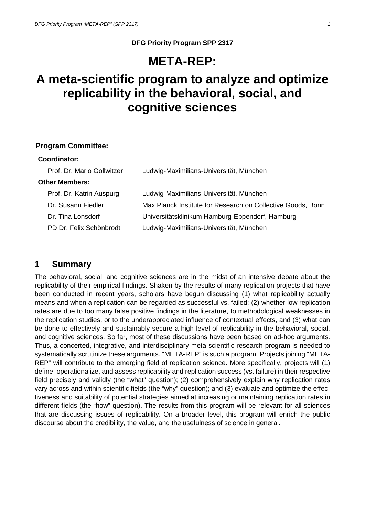# **META-REP:**

# **A meta-scientific program to analyze and optimize replicability in the behavioral, social, and cognitive sciences**

#### **Program Committee:**

#### **Coordinator:**

| Prof. Dr. Mario Gollwitzer | Ludwig-Maximilians-Universität, München                     |  |
|----------------------------|-------------------------------------------------------------|--|
| <b>Other Members:</b>      |                                                             |  |
| Prof. Dr. Katrin Auspurg   | Ludwig-Maximilians-Universität, München                     |  |
| Dr. Susann Fiedler         | Max Planck Institute for Research on Collective Goods, Bonn |  |
| Dr. Tina Lonsdorf          | Universitätsklinikum Hamburg-Eppendorf, Hamburg             |  |
| PD Dr. Felix Schönbrodt    | Ludwig-Maximilians-Universität, München                     |  |

### **1 Summary**

The behavioral, social, and cognitive sciences are in the midst of an intensive debate about the replicability of their empirical findings. Shaken by the results of many replication projects that have been conducted in recent years, scholars have begun discussing (1) what replicability actually means and when a replication can be regarded as successful vs. failed; (2) whether low replication rates are due to too many false positive findings in the literature, to methodological weaknesses in the replication studies, or to the underappreciated influence of contextual effects, and (3) what can be done to effectively and sustainably secure a high level of replicability in the behavioral, social, and cognitive sciences. So far, most of these discussions have been based on ad-hoc arguments. Thus, a concerted, integrative, and interdisciplinary meta-scientific research program is needed to systematically scrutinize these arguments. "META-REP" is such a program. Projects joining "META-REP" will contribute to the emerging field of replication science. More specifically, projects will (1) define, operationalize, and assess replicability and replication success (vs. failure) in their respective field precisely and validly (the "what" question); (2) comprehensively explain why replication rates vary across and within scientific fields (the "why" question); and (3) evaluate and optimize the effectiveness and suitability of potential strategies aimed at increasing or maintaining replication rates in different fields (the "how" question). The results from this program will be relevant for all sciences that are discussing issues of replicability. On a broader level, this program will enrich the public discourse about the credibility, the value, and the usefulness of science in general.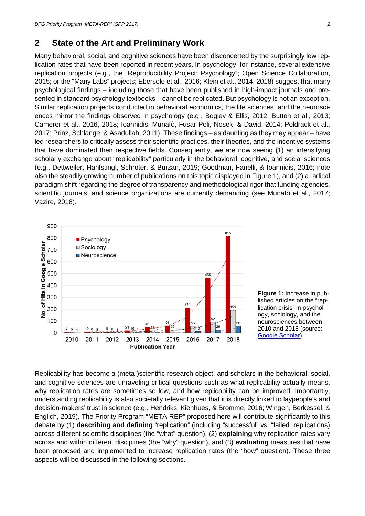## **2 State of the Art and Preliminary Work**

Many behavioral, social, and cognitive sciences have been disconcerted by the surprisingly low replication rates that have been reported in recent years. In psychology, for instance, several extensive replication projects (e.g., the "Reproducibility Project: Psychology"; Open Science Collaboration, 2015; or the "Many Labs" projects; Ebersole et al., 2016; Klein et al., 2014, 2018) suggest that many psychological findings ‒ including those that have been published in high-impact journals and presented in standard psychology textbooks – cannot be replicated. But psychology is not an exception. Similar replication projects conducted in behavioral economics, the life sciences, and the neurosciences mirror the findings observed in psychology (e.g., Begley & Ellis, 2012; Button et al., 2013; Camerer et al., 2016, 2018; Ioannidis, Munafò, Fusar-Poli, Nosek, & David, 2014; Poldrack et al., 2017; Prinz, Schlange, & Asadullah, 2011). These findings – as daunting as they may appear – have led researchers to critically assess their scientific practices, their theories, and the incentive systems that have dominated their respective fields. Consequently, we are now seeing (1) an intensifying scholarly exchange about "replicability" particularly in the behavioral, cognitive, and social sciences (e.g., Dettweiler, Hanfstingl, Schröter, & Burzan, 2019; Goodman, Fanelli, & Ioannidis, 2016; note also the steadily growing number of publications on this topic displayed in Figure 1), and (2) a radical paradigm shift regarding the degree of transparency and methodological rigor that funding agencies, scientific journals, and science organizations are currently demanding (see Munafò et al., 2017; Vazire, 2018).



**Figure 1:** Increase in published articles on the "replication crisis" in psychology, sociology, and the neurosciences between 2010 and 2018 (source: [Google Scholar\)](http://scholar.google.de/)

Replicability has become a (meta-)scientific research object, and scholars in the behavioral, social, and cognitive sciences are unraveling critical questions such as what replicability actually means, why replication rates are sometimes so low, and how replicability can be improved. Importantly, understanding replicability is also societally relevant given that it is directly linked to laypeople's and decision-makers' trust in science (e.g., Hendriks, Kienhues, & Bromme, 2016; Wingen, Berkessel, & Englich, 2019). The Priority Program "META-REP" proposed here will contribute significantly to this debate by (1) **describing and defining** "replication" (including "successful" vs. "failed" replications) across different scientific disciplines (the "what" question), (2) **explaining** why replication rates vary across and within different disciplines (the "why" question), and (3) **evaluating** measures that have been proposed and implemented to increase replication rates (the "how" question). These three aspects will be discussed in the following sections.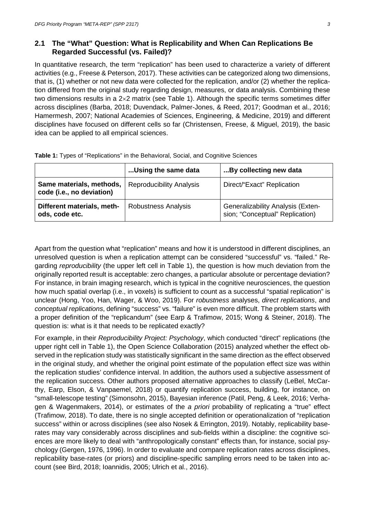## **2.1 The "What" Question: What is Replicability and When Can Replications Be Regarded Successful (vs. Failed)?**

In quantitative research, the term "replication" has been used to characterize a variety of different activities (e.g., Freese & Peterson, 2017). These activities can be categorized along two dimensions, that is, (1) whether or not new data were collected for the replication, and/or (2) whether the replication differed from the original study regarding design, measures, or data analysis. Combining these two dimensions results in a 2×2 matrix (see Table 1). Although the specific terms sometimes differ across disciplines (Barba, 2018; Duvendack, Palmer-Jones, & Reed, 2017; Goodman et al., 2016; Hamermesh, 2007; National Academies of Sciences, Engineering, & Medicine, 2019) and different disciplines have focused on different cells so far (Christensen, Freese, & Miguel, 2019), the basic idea can be applied to all empirical sciences.

|                                                       | Using the same data             | By collecting new data                                                      |
|-------------------------------------------------------|---------------------------------|-----------------------------------------------------------------------------|
| Same materials, methods,<br>code (i.e., no deviation) | <b>Reproducibility Analysis</b> | Direct/"Exact" Replication                                                  |
| Different materials, meth-<br>ods, code etc.          | <b>Robustness Analysis</b>      | <b>Generalizability Analysis (Exten-</b><br>sion; "Conceptual" Replication) |

**Table 1:** Types of "Replications" in the Behavioral, Social, and Cognitive Sciences

Apart from the question what "replication" means and how it is understood in different disciplines, an unresolved question is when a replication attempt can be considered "successful" vs. "failed." Regarding *reproducibility* (the upper left cell in Table 1), the question is how much deviation from the originally reported result is acceptable: zero changes, a particular absolute or percentage deviation? For instance, in brain imaging research, which is typical in the cognitive neurosciences, the question how much spatial overlap (i.e., in voxels) is sufficient to count as a successful "spatial replication" is unclear (Hong, Yoo, Han, Wager, & Woo, 2019). For *robustness* analyses, *direct replications*, and *conceptual replications*, defining "success" vs. "failure" is even more difficult. The problem starts with a proper definition of the "replicandum" (see Earp & Trafimow, 2015; Wong & Steiner, 2018). The question is: what is it that needs to be replicated exactly?

For example, in their *Reproducibility Project: Psychology*, which conducted "direct" replications (the upper right cell in Table 1), the Open Science Collaboration (2015) analyzed whether the effect observed in the replication study was statistically significant in the same direction as the effect observed in the original study, and whether the original point estimate of the population effect size was within the replication studies' confidence interval. In addition, the authors used a subjective assessment of the replication success. Other authors proposed alternative approaches to classify (LeBel, McCarthy, Earp, Elson, & Vanpaemel, 2018) or quantify replication success, building, for instance, on "small-telescope testing" (Simonsohn, 2015), Bayesian inference (Patil, Peng, & Leek, 2016; Verhagen & Wagenmakers, 2014), or estimates of the *a priori* probability of replicating a "true" effect (Trafimow, 2018). To date, there is no single accepted definition or operationalization of "replication success" within or across disciplines (see also Nosek & Errington, 2019). Notably, replicability baserates may vary considerably across disciplines and sub-fields within a discipline: the cognitive sciences are more likely to deal with "anthropologically constant" effects than, for instance, social psychology (Gergen, 1976, 1996). In order to evaluate and compare replication rates across disciplines, replicability base-rates (or priors) and discipline-specific sampling errors need to be taken into account (see Bird, 2018; Ioannidis, 2005; Ulrich et al., 2016).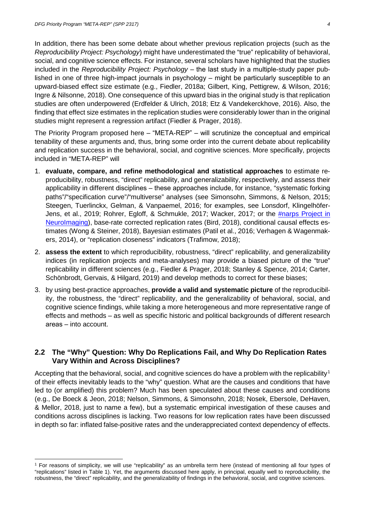In addition, there has been some debate about whether previous replication projects (such as the *Reproducibility Project: Psychology*) might have underestimated the "true" replicability of behavioral, social, and cognitive science effects. For instance, several scholars have highlighted that the studies included in the *Reproducibility Project: Psychology* – the last study in a multiple-study paper published in one of three high-impact journals in psychology  $-$  might be particularly susceptible to an upward-biased effect size estimate (e.g., Fiedler, 2018a; Gilbert, King, Pettigrew, & Wilson, 2016; Ingre & Nilsonne, 2018). One consequence of this upward bias in the original study is that replication studies are often underpowered (Erdfelder & Ulrich, 2018; Etz & Vandekerckhove, 2016). Also, the finding that effect size estimates in the replication studies were considerably lower than in the original studies might represent a regression artifact (Fiedler & Prager, 2018).

The Priority Program proposed here – "META-REP" – will scrutinize the conceptual and empirical tenability of these arguments and, thus, bring some order into the current debate about replicability and replication success in the behavioral, social, and cognitive sciences. More specifically, projects included in "META-REP" will

- 1. **evaluate, compare, and refine methodological and statistical approaches** to estimate reproducibility, robustness, "direct" replicability, and generalizability, respectively, and assess their applicability in different disciplines – these approaches include, for instance, "systematic forking paths"/"specification curve"/"multiverse" analyses (see Simonsohn, Simmons, & Nelson, 2015; Steegen, Tuerlinckx, Gelman, & Vanpaemel, 2016; for examples, see Lonsdorf, Klingelhöfer-Jens, et al., 2019; Rohrer, Egloff, & Schmukle, 2017; Wacker, 2017; or the [#narps Project in](https://www.narps.info/index.html#about)  [NeuroImaging\)](https://www.narps.info/index.html#about), base-rate corrected replication rates (Bird, 2018), conditional causal effects estimates (Wong & Steiner, 2018), Bayesian estimates (Patil et al., 2016; Verhagen & Wagenmakers, 2014), or "replication closeness" indicators (Trafimow, 2018);
- 2. **assess the extent** to which reproducibility, robustness, "direct" replicability, and generalizability indices (in replication projects and meta-analyses) may provide a biased picture of the "true" replicability in different sciences (e.g., Fiedler & Prager, 2018; Stanley & Spence, 2014; Carter, Schönbrodt, Gervais, & Hilgard, 2019) and develop methods to correct for these biases;
- 3. by using best-practice approaches, **provide a valid and systematic picture** of the reproducibility, the robustness, the "direct" replicability, and the generalizability of behavioral, social, and cognitive science findings, while taking a more heterogeneous and more representative range of effects and methods ‒ as well as specific historic and political backgrounds of different research areas - into account.

### **2.2 The "Why" Question: Why Do Replications Fail, and Why Do Replication Rates Vary Within and Across Disciplines?**

Accepting that the behavioral, social, and cognitive sciences do have a problem with the replicability<sup>[1](#page-3-0)</sup> of their effects inevitably leads to the "why" question. What are the causes and conditions that have led to (or amplified) this problem? Much has been speculated about these causes and conditions (e.g., De Boeck & Jeon, 2018; Nelson, Simmons, & Simonsohn, 2018; Nosek, Ebersole, DeHaven, & Mellor, 2018, just to name a few), but a systematic empirical investigation of these causes and conditions across disciplines is lacking. Two reasons for low replication rates have been discussed in depth so far: inflated false-positive rates and the underappreciated context dependency of effects.

<span id="page-3-0"></span><sup>&</sup>lt;sup>1</sup> For reasons of simplicity, we will use "replicability" as an umbrella term here (instead of mentioning all four types of "replications" listed in Table 1). Yet, the arguments discussed here apply, in principal, equally well to reproducibility, the robustness, the "direct" replicability, and the generalizability of findings in the behavioral, social, and cognitive sciences.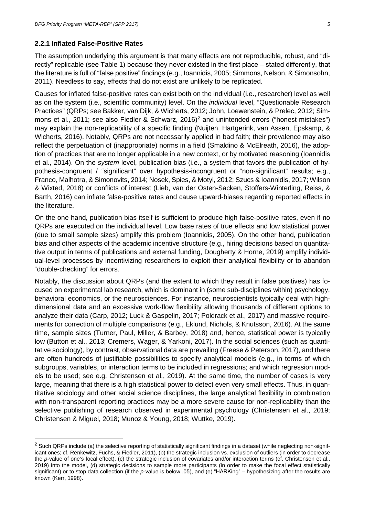#### **2.2.1 Inflated False-Positive Rates**

The assumption underlying this argument is that many effects are not reproducible, robust, and "directly" replicable (see Table 1) because they never existed in the first place – stated differently, that the literature is full of "false positive" findings (e.g., Ioannidis, 2005; Simmons, Nelson, & Simonsohn, 2011). Needless to say, effects that do not exist are unlikely to be replicated.

Causes for inflated false-positive rates can exist both on the individual (i.e., researcher) level as well as on the system (i.e., scientific community) level. On the *individual* level, "Questionable Research Practices" (QRPs; see Bakker, van Dijk, & Wicherts, 2012; John, Loewenstein, & Prelec, 2012; Sim-mons et al., [2](#page-4-0)011; see also Fiedler & Schwarz, 2016)<sup>2</sup> and unintended errors ("honest mistakes") may explain the non-replicability of a specific finding (Nuijten, Hartgerink, van Assen, Epskamp, & Wicherts, 2016). Notably, QRPs are not necessarily applied in bad faith; their prevalence may also reflect the perpetuation of (inappropriate) norms in a field (Smaldino & McElreath, 2016), the adoption of practices that are no longer applicable in a new context, or by motivated reasoning (Ioannidis et al., 2014). On the *system* level, publication bias (i.e., a system that favors the publication of hypothesis-congruent / "significant" over hypothesis-incongruent or "non-significant" results; e.g., Franco, Malhotra, & Simonovits, 2014; Nosek, Spies, & Motyl, 2012; Szucs & Ioannidis, 2017; Wilson & Wixted, 2018) or conflicts of interest (Lieb, van der Osten-Sacken, Stoffers-Winterling, Reiss, & Barth, 2016) can inflate false-positive rates and cause upward-biases regarding reported effects in the literature.

On the one hand, publication bias itself is sufficient to produce high false-positive rates, even if no QRPs are executed on the individual level. Low base rates of true effects and low statistical power (due to small sample sizes) amplify this problem (Ioannidis, 2005). On the other hand, publication bias and other aspects of the academic incentive structure (e.g., hiring decisions based on quantitative output in terms of publications and external funding, Dougherty & Horne, 2019) amplify individual-level processes by incentivizing researchers to exploit their analytical flexibility or to abandon "double-checking" for errors.

Notably, the discussion about QRPs (and the extent to which they result in false positives) has focused on experimental lab research, which is dominant in (some sub-disciplines within) psychology, behavioral economics, or the neurosciences. For instance, neuroscientists typically deal with highdimensional data and an excessive work-flow flexibility allowing thousands of different options to analyze their data (Carp, 2012; Luck & Gaspelin, 2017; Poldrack et al., 2017) and massive requirements for correction of multiple comparisons (e.g., Eklund, Nichols, & Knutsson, 2016). At the same time, sample sizes (Turner, Paul, Miller, & Barbey, 2018) and, hence, statistical power is typically low (Button et al., 2013; Cremers, Wager, & Yarkoni, 2017). In the social sciences (such as quantitative sociology), by contrast, observational data are prevailing (Freese & Peterson, 2017), and there are often hundreds of justifiable possibilities to specify analytical models (e.g., in terms of which subgroups, variables, or interaction terms to be included in regressions; and which regression models to be used; see e.g. Christensen et al., 2019). At the same time, the number of cases is very large, meaning that there is a high statistical power to detect even very small effects. Thus, in quantitative sociology and other social science disciplines, the large analytical flexibility in combination with non-transparent reporting practices may be a more severe cause for non-replicability than the selective publishing of research observed in experimental psychology (Christensen et al., 2019; Christensen & Miguel, 2018; Munoz & Young, 2018; Wuttke, 2019).

<span id="page-4-0"></span><sup>&</sup>lt;sup>2</sup> Such QRPs include (a) the selective reporting of statistically significant findings in a dataset (while neglecting non-significant ones; cf. Renkewitz, Fuchs, & Fiedler, 2011), (b) the strategic inclusion vs. exclusion of outliers (in order to decrease the *p*-value of one's focal effect), (c) the strategic inclusion of covariates and/or interaction terms (cf. Christensen et al., 2019) into the model, (d) strategic decisions to sample more participants (in order to make the focal effect statistically significant) or to stop data collection (if the *p*-value is below .05), and (e) "HARKing" ‒ hypothesizing after the results are known (Kerr, 1998).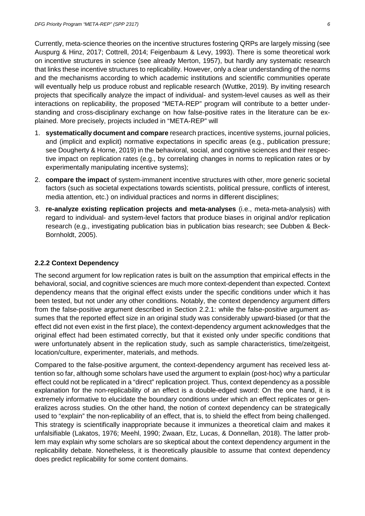Currently, meta-science theories on the incentive structures fostering QRPs are largely missing (see Auspurg & Hinz, 2017; Cottrell, 2014; Feigenbaum & Levy, 1993). There is some theoretical work on incentive structures in science (see already Merton, 1957), but hardly any systematic research that links these incentive structures to replicability. However, only a clear understanding of the norms and the mechanisms according to which academic institutions and scientific communities operate will eventually help us produce robust and replicable research (Wuttke, 2019). By inviting research projects that specifically analyze the impact of individual- and system-level causes as well as their interactions on replicability, the proposed "META-REP" program will contribute to a better understanding and cross-disciplinary exchange on how false-positive rates in the literature can be explained. More precisely, projects included in "META-REP" will

- 1. **systematically document and compare** research practices, incentive systems, journal policies, and (implicit and explicit) normative expectations in specific areas (e.g., publication pressure; see Dougherty & Horne, 2019) in the behavioral, social, and cognitive sciences and their respective impact on replication rates (e.g., by correlating changes in norms to replication rates or by experimentally manipulating incentive systems);
- 2. **compare the impact** of system-immanent incentive structures with other, more generic societal factors (such as societal expectations towards scientists, political pressure, conflicts of interest, media attention, etc.) on individual practices and norms in different disciplines;
- 3. **re-analyze existing replication projects and meta-analyses** (i.e., meta-meta-analysis) with regard to individual- and system-level factors that produce biases in original and/or replication research (e.g., investigating publication bias in publication bias research; see Dubben & Beck-Bornholdt, 2005).

#### **2.2.2 Context Dependency**

The second argument for low replication rates is built on the assumption that empirical effects in the behavioral, social, and cognitive sciences are much more context-dependent than expected. Context dependency means that the original effect exists under the specific conditions under which it has been tested, but not under any other conditions. Notably, the context dependency argument differs from the false-positive argument described in Section 2.2.1: while the false-positive argument assumes that the reported effect size in an original study was considerably upward-biased (or that the effect did not even exist in the first place), the context-dependency argument acknowledges that the original effect had been estimated correctly, but that it existed only under specific conditions that were unfortunately absent in the replication study, such as sample characteristics, time/zeitgeist, location/culture, experimenter, materials, and methods.

Compared to the false-positive argument, the context-dependency argument has received less attention so far, although some scholars have used the argument to explain (post-hoc) why a particular effect could not be replicated in a "direct" replication project. Thus, context dependency as a possible explanation for the non-replicability of an effect is a double-edged sword: On the one hand, it is extremely informative to elucidate the boundary conditions under which an effect replicates or generalizes across studies. On the other hand, the notion of context dependency can be strategically used to "explain" the non-replicability of an effect, that is, to shield the effect from being challenged. This strategy is scientifically inappropriate because it immunizes a theoretical claim and makes it unfalsifiable (Lakatos, 1976; Meehl, 1990; Zwaan, Etz, Lucas, & Donnellan, 2018). The latter problem may explain why some scholars are so skeptical about the context dependency argument in the replicability debate. Nonetheless, it is theoretically plausible to assume that context dependency does predict replicability for some content domains.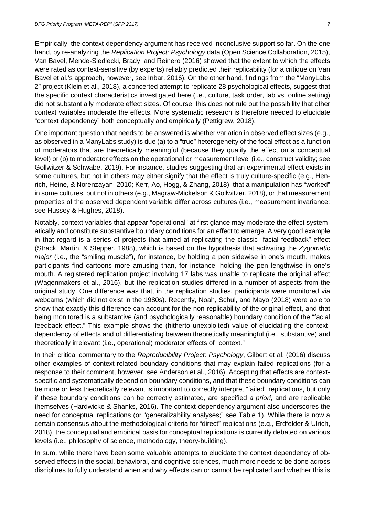Empirically, the context-dependency argument has received inconclusive support so far. On the one hand, by re-analyzing the *Replication Project: Psychology* data (Open Science Collaboration, 2015), Van Bavel, Mende-Siedlecki, Brady, and Reinero (2016) showed that the extent to which the effects were rated as context-sensitive (by experts) reliably predicted their replicability (for a critique on Van Bavel et al.'s approach, however, see Inbar, 2016). On the other hand, findings from the "ManyLabs 2" project (Klein et al., 2018), a concerted attempt to replicate 28 psychological effects, suggest that the specific context characteristics investigated here (i.e., culture, task order, lab vs. online setting) did not substantially moderate effect sizes. Of course, this does not rule out the possibility that other context variables moderate the effects. More systematic research is therefore needed to elucidate "context dependency" both conceptually and empirically (Pettigrew, 2018).

One important question that needs to be answered is whether variation in observed effect sizes (e.g., as observed in a ManyLabs study) is due (a) to a "true" heterogeneity of the focal effect as a function of moderators that are theoretically meaningful (because they qualify the effect on a conceptual level) or (b) to moderator effects on the operational or measurement level (i.e., construct validity; see Gollwitzer & Schwabe, 2019). For instance, studies suggesting that an experimental effect exists in some cultures, but not in others may either signify that the effect is truly culture-specific (e.g., Henrich, Heine, & Norenzayan, 2010; Kerr, Ao, Hogg, & Zhang, 2018), that a manipulation has "worked" in some cultures, but not in others (e.g., Magraw-Mickelson & Gollwitzer, 2018), or that measurement properties of the observed dependent variable differ across cultures (i.e., measurement invariance; see Hussey & Hughes, 2018).

Notably, context variables that appear "operational" at first glance may moderate the effect systematically and constitute substantive boundary conditions for an effect to emerge. A very good example in that regard is a series of projects that aimed at replicating the classic "facial feedback" effect (Strack, Martin, & Stepper, 1988), which is based on the hypothesis that activating the *Zygomatic major* (i.e., the "smiling muscle"), for instance, by holding a pen sidewise in one's mouth, makes participants find cartoons more amusing than, for instance, holding the pen lengthwise in one's mouth. A registered replication project involving 17 labs was unable to replicate the original effect (Wagenmakers et al., 2016), but the replication studies differed in a number of aspects from the original study. One difference was that, in the replication studies, participants were monitored via webcams (which did not exist in the 1980s). Recently, Noah, Schul, and Mayo (2018) were able to show that exactly this difference can account for the non-replicability of the original effect, and that being monitored is a substantive (and psychologically reasonable) boundary condition of the "facial feedback effect." This example shows the (hitherto unexploited) value of elucidating the contextdependency of effects and of differentiating between theoretically meaningful (i.e., substantive) and theoretically irrelevant (i.e., operational) moderator effects of "context."

In their critical commentary to the *Reproducibility Project: Psychology*, Gilbert et al. (2016) discuss other examples of context-related boundary conditions that may explain failed replications (for a response to their comment, however, see Anderson et al., 2016). Accepting that effects are contextspecific and systematically depend on boundary conditions, and that these boundary conditions can be more or less theoretically relevant is important to correctly interpret "failed" replications, but only if these boundary conditions can be correctly estimated, are specified *a priori*, and are replicable themselves (Hardwicke & Shanks, 2016). The context-dependency argument also underscores the need for conceptual replications (or "generalizability analyses;" see Table 1). While there is now a certain consensus about the methodological criteria for "direct" replications (e.g., Erdfelder & Ulrich, 2018), the conceptual and empirical basis for conceptual replications is currently debated on various levels (i.e., philosophy of science, methodology, theory-building).

In sum, while there have been some valuable attempts to elucidate the context dependency of observed effects in the social, behavioral, and cognitive sciences, much more needs to be done across disciplines to fully understand when and why effects can or cannot be replicated and whether this is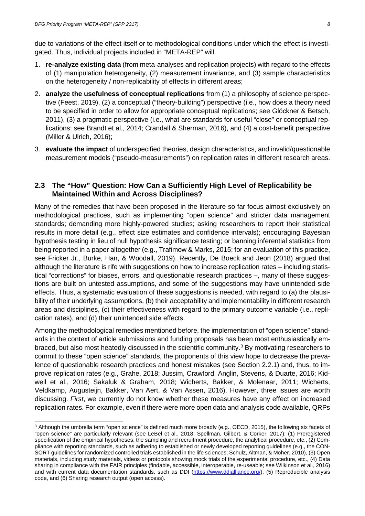due to variations of the effect itself or to methodological conditions under which the effect is investigated. Thus, individual projects included in "META-REP" will

- 1. **re-analyze existing data** (from meta-analyses and replication projects) with regard to the effects of (1) manipulation heterogeneity, (2) measurement invariance, and (3) sample characteristics on the heterogeneity / non-replicability of effects in different areas;
- 2. **analyze the usefulness of conceptual replications** from (1) a philosophy of science perspective (Feest, 2019), (2) a conceptual ("theory-building") perspective (i.e., how does a theory need to be specified in order to allow for appropriate conceptual replications; see Glöckner & Betsch, 2011), (3) a pragmatic perspective (i.e., what are standards for useful "close" or conceptual replications; see Brandt et al., 2014; Crandall & Sherman, 2016), and (4) a cost-benefit perspective (Miller & Ulrich, 2016);
- 3. **evaluate the impact** of underspecified theories, design characteristics, and invalid/questionable measurement models ("pseudo-measurements") on replication rates in different research areas.

### **2.3 The "How" Question: How Can a Sufficiently High Level of Replicability be Maintained Within and Across Disciplines?**

Many of the remedies that have been proposed in the literature so far focus almost exclusively on methodological practices, such as implementing "open science" and stricter data management standards; demanding more highly-powered studies; asking researchers to report their statistical results in more detail (e.g., effect size estimates and confidence intervals); encouraging Bayesian hypothesis testing in lieu of null hypothesis significance testing; or banning inferential statistics from being reported in a paper altogether (e.g., Trafimow & Marks, 2015; for an evaluation of this practice, see Fricker Jr., Burke, Han, & Woodall, 2019). Recently, De Boeck and Jeon (2018) argued that although the literature is rife with suggestions on how to increase replication rates – including statistical "corrections" for biases, errors, and questionable research practices –, many of these suggestions are built on untested assumptions, and some of the suggestions may have unintended side effects. Thus, a systematic evaluation of these suggestions is needed, with regard to (a) the plausibility of their underlying assumptions, (b) their acceptability and implementability in different research areas and disciplines, (c) their effectiveness with regard to the primary outcome variable (i.e., replication rates), and (d) their unintended side effects.

Among the methodological remedies mentioned before, the implementation of "open science" standards in the context of article submissions and funding proposals has been most enthusiastically em-braced, but also most heatedly discussed in the scientific community.<sup>[3](#page-7-0)</sup> By motivating researchers to commit to these "open science" standards, the proponents of this view hope to decrease the prevalence of questionable research practices and honest mistakes (see Section 2.2.1) and, thus, to improve replication rates (e.g., Grahe, 2018; Jussim, Crawford, Anglin, Stevens, & Duarte, 2016; Kidwell et al., 2016; Sakaluk & Graham, 2018; Wicherts, Bakker, & Molenaar, 2011; Wicherts, Veldkamp, Augusteijn, Bakker, Van Aert, & Van Assen, 2016). However, three issues are worth discussing. *First*, we currently do not know whether these measures have any effect on increased replication rates. For example, even if there were more open data and analysis code available, QRPs

<span id="page-7-0"></span> <sup>3</sup> Although the umbrella term "open science" is defined much more broadly (e.g., OECD, 2015), the following six facets of "open science" are particularly relevant (see LeBel et al., 2018; Spellman, Gilbert, & Corker, 2017): (1) Preregistered specification of the empirical hypotheses, the sampling and recruitment procedure, the analytical procedure, etc., (2) Compliance with reporting standards, such as adhering to established or newly developed reporting guidelines (e.g., the CON-SORT guidelines for randomized controlled trials established in the life sciences; Schulz, Altman, & Moher, 2010), (3) Open materials, including study materials, videos or protocols showing mock trials of the experimental procedure, etc., (4) Data sharing in compliance with the FAIR principles (findable, accessible, interoperable, re-useable; see Wilkinson et al., 2016) and with current data documentation standards, such as DDI [\(https://www.ddialliance.org/\)](https://www.ddialliance.org/), (5) Reproducible analysis code, and (6) Sharing research output (open access).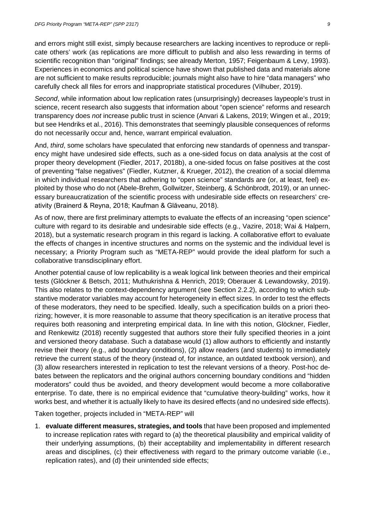and errors might still exist, simply because researchers are lacking incentives to reproduce or replicate others' work (as replications are more difficult to publish and also less rewarding in terms of scientific recognition than "original" findings; see already Merton, 1957; Feigenbaum & Levy, 1993). Experiences in economics and political science have shown that published data and materials alone are not sufficient to make results reproducible; journals might also have to hire "data managers" who carefully check all files for errors and inappropriate statistical procedures (Vilhuber, 2019).

*Second*, while information about low replication rates (unsurprisingly) decreases laypeople's trust in science, recent research also suggests that information about "open science" reforms and research transparency does *not* increase public trust in science (Anvari & Lakens, 2019; Wingen et al., 2019; but see Hendriks et al., 2016). This demonstrates that seemingly plausible consequences of reforms do not necessarily occur and, hence, warrant empirical evaluation.

And, *third*, some scholars have speculated that enforcing new standards of openness and transparency might have undesired side effects, such as a one-sided focus on data analysis at the cost of proper theory development (Fiedler, 2017, 2018b), a one-sided focus on false positives at the cost of preventing "false negatives" (Fiedler, Kutzner, & Krueger, 2012), the creation of a social dilemma in which individual researchers that adhering to "open science" standards are (or, at least, feel) exploited by those who do not (Abele-Brehm, Gollwitzer, Steinberg, & Schönbrodt, 2019), or an unnecessary bureaucratization of the scientific process with undesirable side effects on researchers' creativity (Brainerd & Reyna, 2018; Kaufman & Glăveanu, 2018).

As of now, there are first preliminary attempts to evaluate the effects of an increasing "open science" culture with regard to its desirable and undesirable side effects (e.g., Vazire, 2018; Wai & Halpern, 2018), but a systematic research program in this regard is lacking. A collaborative effort to evaluate the effects of changes in incentive structures and norms on the systemic and the individual level is necessary; a Priority Program such as "META-REP" would provide the ideal platform for such a collaborative transdisciplinary effort.

Another potential cause of low replicability is a weak logical link between theories and their empirical tests (Glöckner & Betsch, 2011; Muthukrishna & Henrich, 2019; Oberauer & Lewandowsky, 2019). This also relates to the context-dependency argument (see Section 2.2.2), according to which substantive moderator variables may account for heterogeneity in effect sizes. In order to test the effects of these moderators, they need to be specified. Ideally, such a specification builds on a priori theorizing; however, it is more reasonable to assume that theory specification is an iterative process that requires both reasoning and interpreting empirical data. In line with this notion, Glöckner, Fiedler, and Renkewitz (2018) recently suggested that authors store their fully specified theories in a joint and versioned theory database. Such a database would (1) allow authors to efficiently and instantly revise their theory (e.g., add boundary conditions), (2) allow readers (and students) to immediately retrieve the current status of the theory (instead of, for instance, an outdated textbook version), and (3) allow researchers interested in replication to test the relevant versions of a theory. Post-hoc debates between the replicators and the original authors concerning boundary conditions and "hidden moderators" could thus be avoided, and theory development would become a more collaborative enterprise. To date, there is no empirical evidence that "cumulative theory-building" works, how it works best, and whether it is actually likely to have its desired effects (and no undesired side effects).

Taken together, projects included in "META-REP" will

1. **evaluate different measures, strategies, and tools** that have been proposed and implemented to increase replication rates with regard to (a) the theoretical plausibility and empirical validity of their underlying assumptions, (b) their acceptability and implementability in different research areas and disciplines, (c) their effectiveness with regard to the primary outcome variable (i.e., replication rates), and (d) their unintended side effects;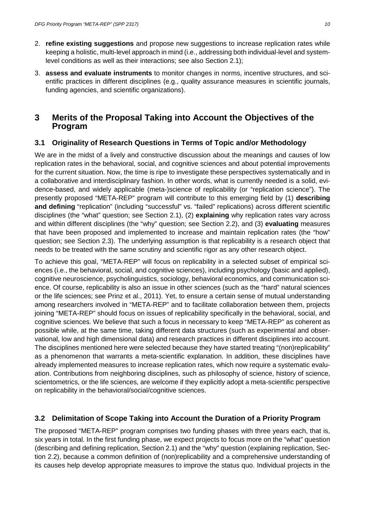- 2. **refine existing suggestions** and propose new suggestions to increase replication rates while keeping a holistic, multi-level approach in mind (i.e., addressing both individual-level and systemlevel conditions as well as their interactions; see also Section 2.1);
- 3. **assess and evaluate instruments** to monitor changes in norms, incentive structures, and scientific practices in different disciplines (e.g., quality assurance measures in scientific journals, funding agencies, and scientific organizations).

## **3 Merits of the Proposal Taking into Account the Objectives of the Program**

### **3.1 Originality of Research Questions in Terms of Topic and/or Methodology**

We are in the midst of a lively and constructive discussion about the meanings and causes of low replication rates in the behavioral, social, and cognitive sciences and about potential improvements for the current situation. Now, the time is ripe to investigate these perspectives systematically and in a collaborative and interdisciplinary fashion. In other words, what is currently needed is a solid, evidence-based, and widely applicable (meta-)science of replicability (or "replication science"). The presently proposed "META-REP" program will contribute to this emerging field by (1) **describing and defining** "replication" (including "successful" vs. "failed" replications) across different scientific disciplines (the "what" question; see Section 2.1), (2) **explaining** why replication rates vary across and within different disciplines (the "why" question; see Section 2.2), and (3) **evaluating** measures that have been proposed and implemented to increase and maintain replication rates (the "how" question; see Section 2.3). The underlying assumption is that replicability is a research object that needs to be treated with the same scrutiny and scientific rigor as any other research object.

To achieve this goal, "META-REP" will focus on replicability in a selected subset of empirical sciences (i.e., the behavioral, social, and cognitive sciences), including psychology (basic and applied), cognitive neuroscience, psycholinguistics, sociology, behavioral economics, and communication science. Of course, replicability is also an issue in other sciences (such as the "hard" natural sciences or the life sciences; see Prinz et al., 2011). Yet, to ensure a certain sense of mutual understanding among researchers involved in "META-REP" and to facilitate collaboration between them, projects joining "META-REP" should focus on issues of replicability specifically in the behavioral, social, and cognitive sciences. We believe that such a focus in necessary to keep "META-REP" as coherent as possible while, at the same time, taking different data structures (such as experimental and observational, low and high dimensional data) and research practices in different disciplines into account. The disciplines mentioned here were selected because they have started treating "(non)replicability" as a phenomenon that warrants a meta-scientific explanation. In addition, these disciplines have already implemented measures to increase replication rates, which now require a systematic evaluation. Contributions from neighboring disciplines, such as philosophy of science, history of science, scientometrics, or the life sciences, are welcome if they explicitly adopt a meta-scientific perspective on replicability in the behavioral/social/cognitive sciences.

### **3.2 Delimitation of Scope Taking into Account the Duration of a Priority Program**

The proposed "META-REP" program comprises two funding phases with three years each, that is, six years in total. In the first funding phase, we expect projects to focus more on the "what" question (describing and defining replication, Section 2.1) and the "why" question (explaining replication, Section 2.2), because a common definition of (non)replicability and a comprehensive understanding of its causes help develop appropriate measures to improve the status quo. Individual projects in the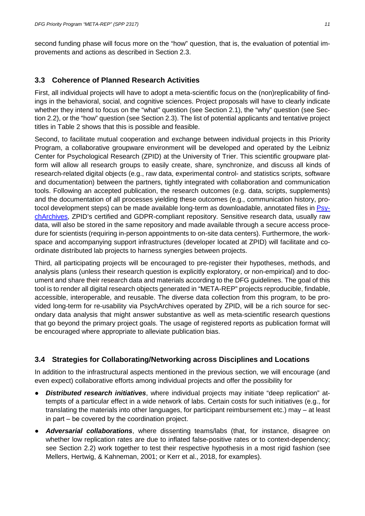second funding phase will focus more on the "how" question, that is, the evaluation of potential improvements and actions as described in Section 2.3.

### **3.3 Coherence of Planned Research Activities**

First, all individual projects will have to adopt a meta-scientific focus on the (non)replicability of findings in the behavioral, social, and cognitive sciences. Project proposals will have to clearly indicate whether they intend to focus on the "what" question (see Section 2.1), the "why" question (see Section 2.2), or the "how" question (see Section 2.3). The list of potential applicants and tentative project titles in Table 2 shows that this is possible and feasible.

Second, to facilitate mutual cooperation and exchange between individual projects in this Priority Program, a collaborative groupware environment will be developed and operated by the Leibniz Center for Psychological Research (ZPID) at the University of Trier. This scientific groupware platform will allow all research groups to easily create, share, synchronize, and discuss all kinds of research-related digital objects (e.g., raw data, experimental control- and statistics scripts, software and documentation) between the partners, tightly integrated with collaboration and communication tools. Following an accepted publication, the research outcomes (e.g. data, scripts, supplements) and the documentation of all processes yielding these outcomes (e.g., communication history, protocol development steps) can be made available long-term as downloadable, annotated files in [Psy](http://www.psycharchives.org/)[chArchives,](http://www.psycharchives.org/) ZPID's certified and GDPR-compliant repository. Sensitive research data, usually raw data, will also be stored in the same repository and made available through a secure access procedure for scientists (requiring in-person appointments to on-site data centers). Furthermore, the workspace and accompanying support infrastructures (developer located at ZPID) will facilitate and coordinate distributed lab projects to harness synergies between projects.

Third, all participating projects will be encouraged to pre-register their hypotheses, methods, and analysis plans (unless their research question is explicitly exploratory, or non-empirical) and to document and share their research data and materials according to the DFG guidelines. The goal of this tool is to render all digital research objects generated in "META-REP" projects reproducible, findable, accessible, interoperable, and reusable. The diverse data collection from this program, to be provided long-term for re-usability via PsychArchives operated by ZPID, will be a rich source for secondary data analysis that might answer substantive as well as meta-scientific research questions that go beyond the primary project goals. The usage of registered reports as publication format will be encouraged where appropriate to alleviate publication bias.

### **3.4 Strategies for Collaborating/Networking across Disciplines and Locations**

In addition to the infrastructural aspects mentioned in the previous section, we will encourage (and even expect) collaborative efforts among individual projects and offer the possibility for

- *Distributed research initiatives*, where individual projects may initiate "deep replication" attempts of a particular effect in a wide network of labs. Certain costs for such initiatives (e.g., for translating the materials into other languages, for participant reimbursement etc.) may  $-$  at least in part  $-$  be covered by the coordination project.
- *Adversarial collaborations*, where dissenting teams/labs (that, for instance, disagree on whether low replication rates are due to inflated false-positive rates or to context-dependency; see Section 2.2) work together to test their respective hypothesis in a most rigid fashion (see Mellers, Hertwig, & Kahneman, 2001; or Kerr et al., 2018, for examples).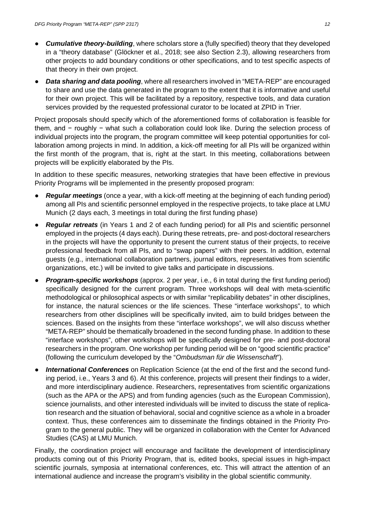- *Cumulative theory-building*, where scholars store a (fully specified) theory that they developed in a "theory database" (Glöckner et al., 2018; see also Section 2.3), allowing researchers from other projects to add boundary conditions or other specifications, and to test specific aspects of that theory in their own project.
- **Data sharing and data pooling**, where all researchers involved in "META-REP" are encouraged to share and use the data generated in the program to the extent that it is informative and useful for their own project. This will be facilitated by a repository, respective tools, and data curation services provided by the requested professional curator to be located at ZPID in Trier.

Project proposals should specify which of the aforementioned forms of collaboration is feasible for them, and − roughly − what such a collaboration could look like. During the selection process of individual projects into the program, the program committee will keep potential opportunities for collaboration among projects in mind. In addition, a kick-off meeting for all PIs will be organized within the first month of the program, that is, right at the start. In this meeting, collaborations between projects will be explicitly elaborated by the PIs.

In addition to these specific measures, networking strategies that have been effective in previous Priority Programs will be implemented in the presently proposed program:

- *Regular meetings* (once a year, with a kick-off meeting at the beginning of each funding period) among all PIs and scientific personnel employed in the respective projects, to take place at LMU Munich (2 days each, 3 meetings in total during the first funding phase)
- **Regular retreats** (in Years 1 and 2 of each funding period) for all PIs and scientific personnel employed in the projects (4 days each). During these retreats, pre- and post-doctoral researchers in the projects will have the opportunity to present the current status of their projects, to receive professional feedback from all PIs, and to "swap papers" with their peers. In addition, external guests (e.g., international collaboration partners, journal editors, representatives from scientific organizations, etc.) will be invited to give talks and participate in discussions.
- **Program-specific workshops** (approx. 2 per year, i.e., 6 in total during the first funding period) specifically designed for the current program. Three workshops will deal with meta-scientific methodological or philosophical aspects or with similar "replicability debates" in other disciplines, for instance, the natural sciences or the life sciences. These "interface workshops", to which researchers from other disciplines will be specifically invited, aim to build bridges between the sciences. Based on the insights from these "interface workshops", we will also discuss whether "META-REP" should be thematically broadened in the second funding phase. In addition to these "interface workshops", other workshops will be specifically designed for pre- and post-doctoral researchers in the program. One workshop per funding period will be on "good scientific practice" (following the curriculum developed by the "*Ombudsman für die Wissenschaft*").
- **International Conferences** on Replication Science (at the end of the first and the second funding period, i.e., Years 3 and 6). At this conference, projects will present their findings to a wider, and more interdisciplinary audience. Researchers, representatives from scientific organizations (such as the APA or the APS) and from funding agencies (such as the European Commission), science journalists, and other interested individuals will be invited to discuss the state of replication research and the situation of behavioral, social and cognitive science as a whole in a broader context. Thus, these conferences aim to disseminate the findings obtained in the Priority Program to the general public. They will be organized in collaboration with the Center for Advanced Studies (CAS) at LMU Munich.

Finally, the coordination project will encourage and facilitate the development of interdisciplinary products coming out of this Priority Program, that is, edited books, special issues in high-impact scientific journals, symposia at international conferences, etc. This will attract the attention of an international audience and increase the program's visibility in the global scientific community.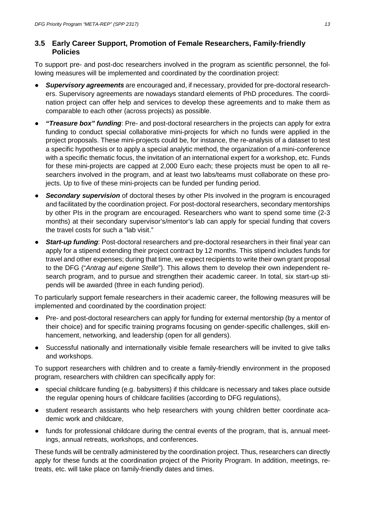### **3.5 Early Career Support, Promotion of Female Researchers, Family-friendly Policies**

To support pre- and post-doc researchers involved in the program as scientific personnel, the following measures will be implemented and coordinated by the coordination project:

- *Supervisory agreements* are encouraged and, if necessary, provided for pre-doctoral researchers. Supervisory agreements are nowadays standard elements of PhD procedures. The coordination project can offer help and services to develop these agreements and to make them as comparable to each other (across projects) as possible.
- *"Treasure box" funding*: Pre- and post-doctoral researchers in the projects can apply for extra funding to conduct special collaborative mini-projects for which no funds were applied in the project proposals. These mini-projects could be, for instance, the re-analysis of a dataset to test a specific hypothesis or to apply a special analytic method, the organization of a mini-conference with a specific thematic focus, the invitation of an international expert for a workshop, etc. Funds for these mini-projects are capped at 2,000 Euro each; these projects must be open to all researchers involved in the program, and at least two labs/teams must collaborate on these projects. Up to five of these mini-projects can be funded per funding period.
- **• Secondary supervision** of doctoral theses by other PIs involved in the program is encouraged and facilitated by the coordination project. For post-doctoral researchers, secondary mentorships by other PIs in the program are encouraged. Researchers who want to spend some time (2-3 months) at their secondary supervisor's/mentor's lab can apply for special funding that covers the travel costs for such a "lab visit."
- *Start-up funding*: Post-doctoral researchers and pre-doctoral researchers in their final year can apply for a stipend extending their project contract by 12 months. This stipend includes funds for travel and other expenses; during that time, we expect recipients to write their own grant proposal to the DFG ("*Antrag auf eigene Stelle*"). This allows them to develop their own independent research program, and to pursue and strengthen their academic career. In total, six start-up stipends will be awarded (three in each funding period).

To particularly support female researchers in their academic career, the following measures will be implemented and coordinated by the coordination project:

- Pre- and post-doctoral researchers can apply for funding for external mentorship (by a mentor of their choice) and for specific training programs focusing on gender-specific challenges, skill enhancement, networking, and leadership (open for all genders).
- Successful nationally and internationally visible female researchers will be invited to give talks and workshops.

To support researchers with children and to create a family-friendly environment in the proposed program, researchers with children can specifically apply for:

- special childcare funding (e.g. babysitters) if this childcare is necessary and takes place outside the regular opening hours of childcare facilities (according to DFG regulations),
- student research assistants who help researchers with young children better coordinate academic work and childcare,
- funds for professional childcare during the central events of the program, that is, annual meetings, annual retreats, workshops, and conferences.

These funds will be centrally administered by the coordination project. Thus, researchers can directly apply for these funds at the coordination project of the Priority Program. In addition, meetings, retreats, etc. will take place on family-friendly dates and times.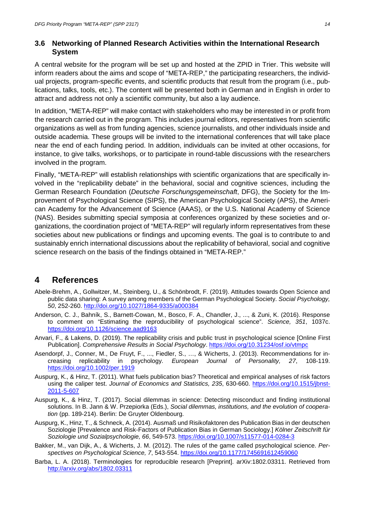#### **3.6 Networking of Planned Research Activities within the International Research System**

A central website for the program will be set up and hosted at the ZPID in Trier. This website will inform readers about the aims and scope of "META-REP," the participating researchers, the individual projects, program-specific events, and scientific products that result from the program (i.e., publications, talks, tools, etc.). The content will be presented both in German and in English in order to attract and address not only a scientific community, but also a lay audience.

In addition, "META-REP" will make contact with stakeholders who may be interested in or profit from the research carried out in the program. This includes journal editors, representatives from scientific organizations as well as from funding agencies, science journalists, and other individuals inside and outside academia. These groups will be invited to the international conferences that will take place near the end of each funding period. In addition, individuals can be invited at other occasions, for instance, to give talks, workshops, or to participate in round-table discussions with the researchers involved in the program.

Finally, "META-REP" will establish relationships with scientific organizations that are specifically involved in the "replicability debate" in the behavioral, social and cognitive sciences, including the German Research Foundation (*Deutsche Forschungsgemeinschaft*, DFG), the Society for the Improvement of Psychological Science (SIPS), the American Psychological Society (APS), the American Academy for the Advancement of Science (AAAS), or the U.S. National Academy of Science (NAS). Besides submitting special symposia at conferences organized by these societies and organizations, the coordination project of "META-REP" will regularly inform representatives from these societies about new publications or findings and upcoming events. The goal is to contribute to and sustainably enrich international discussions about the replicability of behavioral, social and cognitive science research on the basis of the findings obtained in "META-REP."

# **4 References**

- Abele-Brehm, A., Gollwitzer, M., Steinberg, U., & Schönbrodt, F. (2019). Attitudes towards Open Science and public data sharing: A survey among members of the German Psychological Society. *Social Psychology, 50*, 252-260.<http://doi.org/10.1027/1864-9335/a000384>
- Anderson, C. J., Bahník, S., Barnett-Cowan, M., Bosco, F. A., Chandler, J., ..., & Zuni, K. (2016). Response to comment on "Estimating the reproducibility of psychological science". *Science, 351*, 1037c. <https://doi.org/10.1126/science.aad9163>
- Anvari, F., & Lakens, D. (2019). The replicability crisis and public trust in psychological science [Online First Publication]. *Comprehensive Results in Social Psychology*.<https://doi.org/10.31234/osf.io/vtmpc>
- Asendorpf, J., Conner, M., De Fruyt, F., ..., Fiedler, S., …, & Wicherts, J. (2013). Recommendations for increasing replicability in psychology. *European Journal of Personality, 27*, 108-119. <https://doi.org/10.1002/per.1919>
- Auspurg, K., & Hinz, T. (2011). What fuels publication bias? Theoretical and empirical analyses of risk factors using the caliper test. *Journal of Economics and Statistics, 235*, 630-660. [https://doi.org/10.1515/jbnst-](https://doi.org/10.1515/jbnst-2011-5-607)[2011-5-607](https://doi.org/10.1515/jbnst-2011-5-607)
- Auspurg, K., & Hinz, T. (2017). Social dilemmas in science: Detecting misconduct and finding institutional solutions. In B. Jann & W. Przepiorka (Eds.), *Social dilemmas, institutions, and the evolution of cooperation* (pp. 189-214). Berlin: De Gruyter Oldenbourg.
- Auspurg, K., Hinz, T., & Schneck, A. (2014). Ausmaß und Risikofaktoren des Publication Bias in der deutschen Soziologie [Prevalence and Risk-Factors of Publication Bias in German Sociology.] *Kölner Zeitschrift für Soziologie und Sozialpsychologie, 66*, 549-573.<https://doi.org/10.1007/s11577-014-0284-3>
- Bakker, M., van Dijk, A., & Wicherts, J. M. (2012). The rules of the game called psychological science. *Perspectives on Psychological Science, 7*, 543-554.<https://doi.org/10.1177/1745691612459060>
- Barba, L. A. (2018). Terminologies for reproducible research [Preprint]. arXiv:1802.03311. Retrieved from <http://arxiv.org/abs/1802.03311>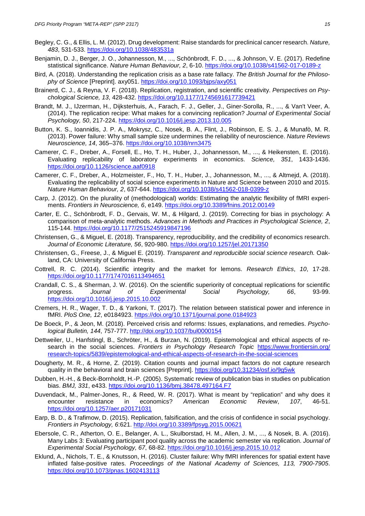- Begley, C. G., & Ellis, L. M. (2012). Drug development: Raise standards for preclinical cancer research. *Nature, 483*, 531-533.<https://doi.org/10.1038/483531a>
- Benjamin, D. J., Berger, J. O., Johannesson, M., ..., Schönbrodt, F. D., ..., & Johnson, V. E. (2017). Redefine statistical significance. *Nature Human Behaviour, 2*, 6-10.<https://doi.org/10.1038/s41562-017-0189-z>
- Bird, A. (2018). Understanding the replication crisis as a base rate fallacy. *The British Journal for the Philosophy of Science* [Preprint]. axy051.<https://doi.org/10.1093/bjps/axy051>
- Brainerd, C. J., & Reyna, V. F. (2018). Replication, registration, and scientific creativity. *Perspectives on Psychological Science, 13*, 428-432.<https://doi.org/10.1177/1745691617739421>
- Brandt, M. J., IJzerman, H., Dijksterhuis, A., Farach, F. J., Geller, J., Giner-Sorolla, R., ..., & Van't Veer, A. (2014). The replication recipe: What makes for a convincing replication? *Journal of Experimental Social Psychology, 50*, 217-224.<https://doi.org/10.1016/j.jesp.2013.10.005>
- Button, K. S., Ioannidis, J. P. A., Mokrysz, C., Nosek, B. A., Flint, J., Robinson, E. S. J., & Munafò, M. R. (2013). Power failure: Why small sample size undermines the reliability of neuroscience. *Nature Reviews Neuroscience, 14*, 365–376.<https://doi.org/10.1038/nrn3475>
- Camerer, C. F., Dreber, A., Forsell, E., Ho, T. H., Huber, J., Johannesson, M., ..., & Heikensten, E. (2016). Evaluating replicability of laboratory experiments in economics. *Science, 351*, 1433-1436. <https://doi.org/10.1126/science.aaf0918>
- Camerer, C. F., Dreber, A., Holzmeister, F., Ho, T. H., Huber, J., Johannesson, M., ..., & Altmejd, A. (2018). Evaluating the replicability of social science experiments in Nature and Science between 2010 and 2015. *Nature Human Behaviour, 2*, 637-644.<https://doi.org/10.1038/s41562-018-0399-z>
- Carp, J. (2012). On the plurality of (methodological) worlds: Estimating the analytic flexibility of fMRI experiments. *Frontiers in Neuroscience, 6*, e149.<https://doi.org/10.3389/fnins.2012.00149>
- Carter, E. C., Schönbrodt, F. D., Gervais, W. M., & Hilgard, J. (2019). Correcting for bias in psychology: A comparison of meta-analytic methods. *Advances in Methods and Practices in Psychological Science, 2*, 115-144.<https://doi.org/10.1177/2515245919847196>
- Christensen, G., & Miguel, E. (2018). Transparency, reproducibility, and the credibility of economics research. *Journal of Economic Literature, 56*, 920-980.<https://doi.org/10.1257/jel.20171350>
- Christensen, G., Freese, J., & Miguel E. (2019). *Transparent and reproducible social science research.* Oakland, CA: University of California Press.
- Cottrell, R. C. (2014). Scientific integrity and the market for lemons. *Research Ethics*, *10*, 17-28. <https://doi.org/10.1177/1747016113494651>
- Crandall, C. S., & Sherman, J. W. (2016). On the scientific superiority of conceptual replications for scientific progress. *Journal of Experimental Social Psychology, 66*, 93-99. <https://doi.org/10.1016/j.jesp.2015.10.002>
- Cremers, H. R., Wager, T. D., & Yarkoni, T. (2017). The relation between statistical power and inference in fMRI. *PloS One, 12*, e0184923.<https://doi.org/10.1371/journal.pone.0184923>
- De Boeck, P., & Jeon, M. (2018). Perceived crisis and reforms: Issues, explanations, and remedies. *Psychological Bulletin, 144*, 757-777.<http://doi.org/10.1037/bul0000154>
- Dettweiler, U., Hanfstingl, B., Schröter, H., & Burzan, N. (2019). Epistemological and ethical aspects of research in the social sciences. *Frontiers in Psychology Research Topic* [https://www.frontiersin.org/](https://www.frontiersin.org/research-topics/5839/epistemological-and-ethical-aspects-of-research-in-the-social-sciences) [research-topics/5839/epistemological-and-ethical-aspects-of-research-in-the-social-sciences](https://www.frontiersin.org/research-topics/5839/epistemological-and-ethical-aspects-of-research-in-the-social-sciences)
- Dougherty, M. R., & Horne, Z. (2019). Citation counts and journal impact factors do not capture research quality in the behavioral and brain sciences [Preprint].<https://doi.org/10.31234/osf.io/9g5wk>
- Dubben, H.-H., & Beck-Bornholdt, H.-P. (2005). Systematic review of publication bias in studies on publication bias. *BMJ, 331*, e433.<https://doi.org/10.1136/bmj.38478.497164.F7>
- Duvendack, M., Palmer-Jones, R., & Reed, W. R. (2017). What is meant by "replication" and why does it encounter resistance in economics? *American Economic Review*, *107*, 46-51. <https://doi.org/10.1257/aer.p20171031>
- Earp, B. D., & Trafimow, D. (2015). Replication, falsification, and the crisis of confidence in social psychology. *Frontiers in Psychology, 6*:621.<http://doi.org/10.3389/fpsyg.2015.00621>
- Ebersole, C. R., Atherton, O. E., Belanger, A. L., Skulborstad, H. M., Allen, J. M., ..., & Nosek, B. A. (2016). Many Labs 3: Evaluating participant pool quality across the academic semester via replication. *Journal of Experimental Social Psychology, 67*, 68-82.<https://doi.org/10.1016/j.jesp.2015.10.012>
- Eklund, A., Nichols, T. E., & Knutsson, H. (2016). Cluster failure: Why fMRI inferences for spatial extent have inflated false-positive rates. *Proceedings of the National Academy of Sciences, 113, 7900-7905*. <https://doi.org/10.1073/pnas.1602413113>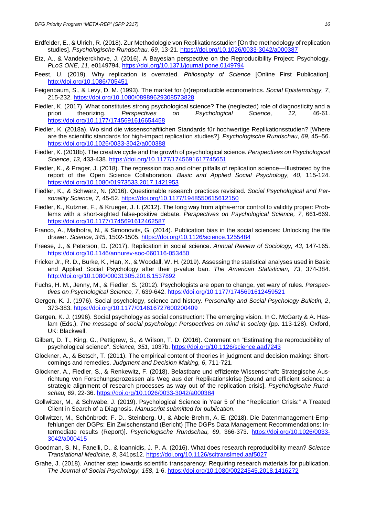- Erdfelder, E., & Ulrich, R. (2018). Zur Methodologie von Replikationsstudien [On the methodology of replication studies]. *Psychologische Rundschau, 69*, 13-21.<https://doi.org/10.1026/0033-3042/a000387>
- Etz, A., & Vandekerckhove, J. (2016). A Bayesian perspective on the Reproducibility Project: Psychology. *PLoS ONE, 11*, e0149794.<https://doi.org/10.1371/journal.pone.0149794>
- Feest, U. (2019). Why replication is overrated. *Philosophy of Science* [Online First Publication]. <http://doi.org/10.1086/705451>
- Feigenbaum, S., & Levy, D. M. (1993). The market for (ir)reproducible econometrics. *Social Epistemology, 7*, 215-232.<https://doi.org/10.1080/08989629308573828>
- Fiedler, K. (2017). What constitutes strong psychological science? The (neglected) role of diagnosticity and a priori theorizing. *Perspectives on Psychological Science, 12*, 46-61. <https://doi.org/10.1177/1745691616654458>
- Fiedler, K. (2018a). Wo sind die wissenschaftlichen Standards für hochwertige Replikationsstudien? [Where are the scientific standards for high-impact replication studies?]. *Psychologische Rundschau, 69*, 45–56. <https://doi.org/10.1026/0033-3042/a000388>
- Fiedler, K. (2018b). The creative cycle and the growth of psychological science. *Perspectives on Psychological Science, 13*, 433-438.<https://doi.org/10.1177/1745691617745651>
- Fiedler, K., & Prager, J. (2018). The regression trap and other pitfalls of replication science—Illustrated by the report of the Open Science Collaboration. *Basic and Applied Social Psychology, 40*, 115-124. <https://doi.org/10.1080/01973533.2017.1421953>
- Fiedler, K., & Schwarz, N. (2016). Questionable research practices revisited. *Social Psychological and Personality Science, 7*, 45-52.<https://doi.org/10.1177/1948550615612150>
- Fiedler, K., Kutzner, F., & Krueger, J. I. (2012). The long way from alpha-error control to validity proper: Problems with a short-sighted false-positive debate. *Perspectives on Psychological Science, 7*, 661-669. <https://doi.org/10.1177/1745691612462587>
- Franco, A., Malhotra, N., & Simonovits, G. (2014). Publication bias in the social sciences: Unlocking the file drawer. *Science, 345*, 1502-1505.<https://doi.org/10.1126/science.1255484>
- Freese, J., & Peterson, D. (2017). Replication in social science. *Annual Review of Sociology, 43*, 147-165. <https://doi.org/10.1146/annurev-soc-060116-053450>
- Fricker Jr., R. D., Burke, K., Han, X., & Woodall, W. H. (2019). Assessing the statistical analyses used in Basic and Applied Social Psychology after their p-value ban. *The American Statistician, 73*, 374-384. <http://doi.org/10.1080/00031305.2018.1537892>
- Fuchs, H. M., Jenny, M., & Fiedler, S. (2012). Psychologists are open to change, yet wary of rules. *Perspectives on Psychological Science, 7*, 639-642.<https://doi.org/10.1177/1745691612459521>
- Gergen, K. J. (1976). Social psychology, science and history. *Personality and Social Psychology Bulletin, 2*, 373-383.<https://doi.org/10.1177/014616727600200409>
- Gergen, K. J. (1996). Social psychology as social construction: The emerging vision. In C. McGarty & A. Haslam (Eds.), *The message of social psychology: Perspectives on mind in society* (pp. 113-128). Oxford, UK: Blackwell.
- Gilbert, D. T., King, G., Pettigrew, S., & Wilson, T. D. (2016). Comment on "Estimating the reproducibility of psychological science". *Science, 351*, 1037b.<https://doi.org/10.1126/science.aad7243>
- Glöckner, A., & Betsch, T. (2011). The empirical content of theories in judgment and decision making: Shortcomings and remedies. *Judgment and Decision Making, 6*, 711-721.
- Glöckner, A., Fiedler, S., & Renkewitz, F. (2018). Belastbare und effiziente Wissenschaft: Strategische Ausrichtung von Forschungsprozessen als Weg aus der Replikationskrise [Sound and efficient science: a strategic alignment of research processes as way out of the replication crisis]. *Psychologische Rundschau, 69*, 22-36.<https://doi.org/10.1026/0033-3042/a000384>
- Gollwitzer, M., & Schwabe, J. (2019). Psychological Science in Year 5 of the "Replication Crisis:" A Treated Client in Search of a Diagnosis. *Manuscript submitted for publication*.
- Gollwitzer, M., Schönbrodt, F. D., Steinberg, U., & Abele-Brehm, A. E. (2018). Die Datenmanagement-Empfehlungen der DGPs: Ein Zwischenstand (Bericht) [The DGPs Data Management Recommendations: Intermediate results (Report)]. *Psychologische Rundschau, 69*, 366-373. [https://doi.org/10.1026/0033-](https://doi.org/10.1026/0033-3042/a000415) [3042/a000415](https://doi.org/10.1026/0033-3042/a000415)
- Goodman, S. N., Fanelli, D., & Ioannidis, J. P. A. (2016). What does research reproducibility mean? *Science Translational Medicine, 8*, 341ps12.<https://doi.org/10.1126/scitranslmed.aaf5027>
- Grahe, J. (2018). Another step towards scientific transparency: Requiring research materials for publication. *The Journal of Social Psychology, 158*, 1-6.<https://doi.org/10.1080/00224545.2018.1416272>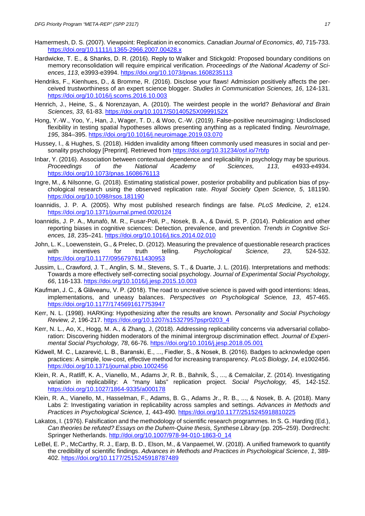- Hamermesh, D. S. (2007). Viewpoint: Replication in economics. *Canadian Journal of Economics*, *40*, 715-733. <https://doi.org/10.1111/j.1365-2966.2007.00428.x>
- Hardwicke, T. E., & Shanks, D. R. (2016). Reply to Walker and Stickgold: Proposed boundary conditions on memory reconsolidation will require empirical verification. *Proceedings of the National Academy of Sciences*, *113*, e3993-e3994.<https://doi.org/10.1073/pnas.1608235113>
- Hendriks, F., Kienhues, D., & Bromme, R. (2016). Disclose your flaws! Admission positively affects the perceived trustworthiness of an expert science blogger. *Studies in Communication Sciences, 16*, 124-131. <https://doi.org/10.1016/j.scoms.2016.10.003>
- Henrich, J., Heine, S., & Norenzayan, A. (2010). The weirdest people in the world? *Behavioral and Brain Sciences, 33*, 61-83.<https://doi.org/10.1017/S0140525X0999152X>
- Hong, Y.-W., Yoo, Y., Han, J., Wager, T. D., & Woo, C.-W. (2019). False-positive neuroimaging: Undisclosed flexibility in testing spatial hypotheses allows presenting anything as a replicated finding. *NeuroImage, 195*, 384–395.<https://doi.org/10.1016/j.neuroimage.2019.03.070>
- Hussey, I., & Hughes, S. (2018). Hidden invalidity among fifteen commonly used measures in social and personality psychology [Preprint]. Retrieved from<https://doi.org/10.31234/osf.io/7rbfp>
- Inbar, Y. (2016). Association between contextual dependence and replicability in psychology may be spurious. *Proceedings of the National Academy of Sciences, 113*, e4933-e4934. <https://doi.org/10.1073/pnas.1608676113>
- Ingre, M., & Nilsonne, G. (2018). Estimating statistical power, posterior probability and publication bias of psychological research using the observed replication rate. *Royal Society Open Science, 5*, 181190. <https://doi.org/10.1098/rsos.181190>
- Ioannidis, J. P. A. (2005). Why most published research findings are false. *PLoS Medicine, 2*, e124. <https://doi.org/10.1371/journal.pmed.0020124>
- Ioannidis, J. P. A., Munafò, M. R., Fusar-Poli, P., Nosek, B. A., & David, S. P. (2014). Publication and other reporting biases in cognitive sciences: Detection, prevalence, and prevention. *Trends in Cognitive Sciences, 18*, 235–241.<https://doi.org/10.1016/j.tics.2014.02.010>
- John, L. K., Loewenstein, G., & Prelec, D. (2012). Measuring the prevalence of questionable research practices  $Psycholoa$ <https://doi.org/10.1177/0956797611430953>
- Jussim, L., Crawford, J. T., Anglin, S. M., Stevens, S. T., & Duarte, J. L. (2016). Interpretations and methods: Towards a more effectively self-correcting social psychology. *Journal of Experimental Social Psychology, 66*, 116-133.<https://doi.org/10.1016/j.jesp.2015.10.003>
- Kaufman, J. C., & Glǎveanu, V. P. (2018). The road to uncreative science is paved with good intentions: Ideas, implementations, and uneasy balances. *Perspectives on Psychological Science, 13*, 457-465. <https://doi.org/10.1177/1745691617753947>
- Kerr, N. L. (1998). HARKing: Hypothesizing after the results are known. *Personality and Social Psychology Review, 2*, 196-217. [https://doi.org/10.1207/s15327957pspr0203\\_4](https://doi.org/10.1207/s15327957pspr0203_4)
- Kerr, N. L., Ao, X., Hogg, M. A., & Zhang, J, (2018). Addressing replicability concerns via adversarial collaboration: Discovering hidden moderators of the minimal intergroup discrimination effect. *Journal of Experimental Social Psychology, 78*, 66-76.<https://doi.org/10.1016/j.jesp.2018.05.001>
- Kidwell, M. C., Lazarević, L. B., Baranski, E., ..., Fiedler, S., & Nosek, B. (2016). Badges to acknowledge open practices: A simple, low-cost, effective method for increasing transparency. *PLoS Biology*, *14*, e1002456. <https://doi.org/10.1371/journal.pbio.1002456>
- Klein, R. A., Ratliff, K. A., Vianello, M., Adams Jr, R. B., Bahník, Š., ..., & Cemalcilar, Z. (2014). Investigating variation in replicability: A "many labs" replication project. *Social Psychology, 45*, 142-152. <https://doi.org/10.1027/1864-9335/a000178>
- Klein, R. A., Vianello, M., Hasselman, F., Adams, B. G., Adams Jr., R. B., ..., & Nosek, B. A. (2018). Many Labs 2: Investigating variation in replicability across samples and settings. *Advances in Methods and Practices in Psychological Science, 1,* 443-490*.* <https://doi.org/10.1177/2515245918810225>
- Lakatos, I. (1976). Falsification and the methodology of scientific research programmes. In S. G. Harding (Ed.), *Can theories be refuted? Essays on the Duhem-Quine thesis, Synthese Library* (pp. 205–259). Dordrecht: Springer Netherlands. [http://doi.org/10.1007/978-94-010-1863-0\\_14](http://doi.org/10.1007/978-94-010-1863-0_14)
- LeBel, E. P., McCarthy, R. J., Earp, B. D., Elson, M., & Vanpaemel, W. (2018). A unified framework to quantify the credibility of scientific findings. *Advances in Methods and Practices in Psychological Science*, *1*, 389- 402.<https://doi.org/10.1177/2515245918787489>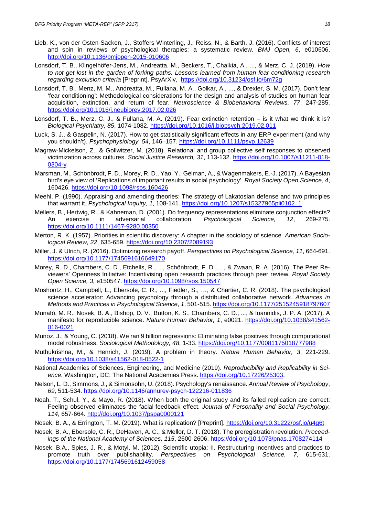- Lieb, K., von der Osten-Sacken, J., Stoffers-Winterling, J., Reiss, N., & Barth, J. (2016). Conflicts of interest and spin in reviews of psychological therapies: a systematic review. *BMJ Open, 6*, e010606. <http://doi.org/10.1136/bmjopen-2015-010606>
- Lonsdorf, T. B., Klingelhöfer-Jens, M., Andreatta, M., Beckers, T., Chalkia, A., ..., & Merz, C. J. (2019). *How to not get lost in the garden of forking paths: Lessons learned from human fear conditioning research regarding exclusion criteria* [Preprint]. PsyArXiv, <https://doi.org/10.31234/osf.io/6m72g>
- Lonsdorf, T. B., Menz, M. M., Andreatta, M., Fullana, M. A., Golkar, A., ..., & Drexler, S. M. (2017). Don't fear 'fear conditioning': Methodological considerations for the design and analysis of studies on human fear acquisition, extinction, and return of fear. *Neuroscience & Biobehavioral Reviews, 77*, 247-285. <https://doi.org/10.1016/j.neubiorev.2017.02.026>
- Lonsdorf, T. B., Merz, C. J., & Fullana, M. A. (2019). Fear extinction retention is it what we think it is? *Biological Psychiatry, 85*, 1074-1082.<https://doi.org/10.1016/j.biopsych.2019.02.011>
- Luck, S. J., & Gaspelin, N. (2017). How to get statistically significant effects in any ERP experiment (and why you shouldn't). *Psychophysiology, 54*, 146–157.<https://doi.org/10.1111/psyp.12639>
- Magraw-Mickelson, Z., & Gollwitzer, M. (2018). Relational and group collective self responses to observed victimization across cultures. *Social Justice Research, 31*, 113-132. [https://doi.org/10.1007/s11211-018-](https://doi.org/10.1007/s11211-018-0304-y) [0304-y](https://doi.org/10.1007/s11211-018-0304-y)
- Marsman, M., Schönbrodt, F. D., Morey, R. D., Yao, Y., Gelman, A., & Wagenmakers, E.-J. (2017). A Bayesian bird's eye view of 'Replications of important results in social psychology'. *Royal Society Open Science, 4*, 160426.<https://doi.org/10.1098/rsos.160426>
- Meehl, P. (1990). Appraising and amending theories: The strategy of Lakatosian defense and two principles that warrant it. *Psychological Inquiry, 1*, 108-141. [https://doi.org/10.1207/s15327965pli0102\\_1](https://doi.org/10.1207/s15327965pli0102_1)
- Mellers, B., Hertwig, R., & Kahneman, D. (2001). Do frequency representations eliminate conjunction effects?<br>An exercise in adversarial collaboration. Psychological Science. 12, 269-275. An exercise in adversarial collaboration. *Psychological Science, 12*, 269-275. <https://doi.org/10.1111/1467-9280.00350>
- Merton, R. K. (1957). Priorities in scientific discovery: A chapter in the sociology of science. *American Sociological Review, 22*, 635-659.<https://doi.org/10.2307/2089193>
- Miller, J. & Ulrich, R. (2016). Optimizing research payoff. *Perspectives on Psychological Science, 11*, 664-691. <https://doi.org/10.1177/1745691616649170>
- Morey, R. D., Chambers, C. D., Etchells, R., ..., Schönbrodt, F. D., ..., & Zwaan, R. A. (2016). The Peer Reviewers' Openness Initiative: Incentivising open research practices through peer review. *Royal Society Open Science, 3*, e150547.<https://doi.org/10.1098/rsos.150547>
- Moshontz, H., Campbell, L., Ebersole, C. R., ..., Fiedler, S., …, & Chartier, C. R. (2018). The psychological science accelerator: Advancing psychology through a distributed collaborative network. *Advances in Methods and Practices in Psychological Science*, *1*, 501-515.<https://doi.org/10.1177/2515245918797607>
- Munafò, M. R., Nosek, B. A., Bishop, D. V., Button, K. S., Chambers, C. D., ..., & Ioannidis, J. P. A. (2017). A manifesto for reproducible science. *Nature Human Behavior, 1*, e0021. [https://doi.org/10.1038/s41562-](https://doi.org/10.1038/s41562-016-0021) [016-0021](https://doi.org/10.1038/s41562-016-0021)
- Munoz, J., & Young, C. (2018). We ran 9 billion regressions: Eliminating false positives through computational model robustness. *Sociological Methodology, 48*, 1-33.<https://doi.org/10.1177/0081175018777988>
- Muthukrishna, M., & Henrich, J. (2019). A problem in theory. *Nature Human Behavior, 3*, 221-229. <https://doi.org/10.1038/s41562-018-0522-1>
- National Academies of Sciences, Engineering, and Medicine (2019). *Reproducibility and Replicability in Science*. Washington, DC: The National Academies Press. [https://doi.org/10.17226/25303.](https://doi.org/10.17226/25303)
- Nelson, L. D., Simmons, J., & Simonsohn, U. (2018). Psychology's renaissance. *Annual Review of Psychology*, *69*, 511-534.<https://doi.org/10.1146/annurev-psych-122216-011836>
- Noah, T., Schul, Y., & Mayo, R. (2018). When both the original study and its failed replication are correct: Feeling observed eliminates the facial-feedback effect. *Journal of Personality and Social Psychology, 114*, 657-664.<http://doi.org/10.1037/pspa0000121>
- Nosek, B. A., & Errington, T. M. (2019). What is replication? [Preprint].<https://doi.org/10.31222/osf.io/u4g6t>
- Nosek, B. A., Ebersole, C. R., DeHaven, A. C., & Mellor, D. T. (2018). The preregistration revolution. *Proceedings of the National Academy of Sciences, 115*, 2600-2606.<https://doi.org/10.1073/pnas.1708274114>
- Nosek, B.A., Spies, J. R., & Motyl, M. (2012). Scientific utopia: II. Restructuring incentives and practices to promote truth over publishability. *Perspectives on Psychological Science, 7*, 615-631. <https://doi.org/10.1177/1745691612459058>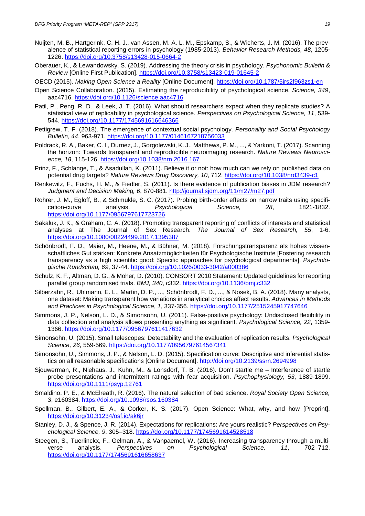- Nuijten, M. B., Hartgerink, C. H. J., van Assen, M. A. L. M., Epskamp, S., & Wicherts, J. M. (2016). The prevalence of statistical reporting errors in psychology (1985-2013). *Behavior Research Methods, 48*, 1205- 1226.<https://doi.org/10.3758/s13428-015-0664-2>
- Oberauer, K., & Lewandowsky, S. (2019). Addressing the theory crisis in psychology. *Psychonomic Bulletin & Review* [Online First Publication].<https://doi.org/10.3758/s13423-019-01645-2>
- OECD (2015). *Making Open Science a Reality* [Online Document].<https://doi.org/10.1787/5jrs2f963zs1-en>
- Open Science Collaboration. (2015). Estimating the reproducibility of psychological science. *Science, 349*, aac4716.<https://doi.org/10.1126/science.aac4716>
- Patil, P., Peng, R. D., & Leek, J. T. (2016). What should researchers expect when they replicate studies? A statistical view of replicability in psychological science. *Perspectives on Psychological Science, 11*, 539- 544.<https://doi.org/10.1177/1745691616646366>
- Pettigrew, T. F. (2018). The emergence of contextual social psychology. *Personality and Social Psychology Bulletin, 44*, 963-971.<https://doi.org/10.1177/0146167218756033>
- Poldrack, R. A., Baker, C. I., Durnez, J., Gorgolewski, K. J., Matthews, P. M., ..., & Yarkoni, T. (2017). Scanning the horizon: Towards transparent and reproducible neuroimaging research. *Nature Reviews Neuroscience, 18*, 115-126.<https://doi.org/10.1038/nrn.2016.167>
- Prinz, F., Schlange, T., & Asadullah, K. (2011). Believe it or not: how much can we rely on published data on potential drug targets? *Nature Reviews Drug Discovery, 10*, 712.<https://doi.org/10.1038/nrd3439-c1>
- Renkewitz, F., Fuchs, H. M., & Fiedler, S. (2011). Is there evidence of publication biases in JDM research? *Judgment and Decision Making, 6*, 870-881.<http://journal.sjdm.org/11/m27/m27.pdf>
- Rohrer, J. M., Egloff, B., & Schmukle, S. C. (2017). Probing birth-order effects on narrow traits using specifi-<br>cation-curve analysis. Psychological Science. 28. 1821-1832. cation-curve analysis. *Psychological* Science, 28, <https://doi.org/10.1177/0956797617723726>
- Sakaluk, J. K., & Graham, C. A. (2018). Promoting transparent reporting of conflicts of interests and statistical analyses at The Journal of Sex Research. *The Journal of Sex Research, 55*, 1-6. <https://doi.org/10.1080/00224499.2017.1395387>
- Schönbrodt, F. D., Maier, M., Heene, M., & Bühner, M. (2018). Forschungstransparenz als hohes wissenschaftliches Gut stärken: Konkrete Ansatzmöglichkeiten für Psychologische Institute [Fostering research transparency as a high scientific good: Specific approaches for psychological departments]. *Psychologische Rundschau, 69*, 37-44.<https://doi.org/10.1026/0033-3042/a000386>
- Schulz, K. F., Altman, D. G., & Moher, D. (2010). CONSORT 2010 Statement: Updated guidelines for reporting parallel group randomised trials. *BMJ, 340*, c332.<https://doi.org/10.1136/bmj.c332>
- Silberzahn, R., Uhlmann, E. L., Martin, D. P., ..., Schönbrodt, F. D., ..., & Nosek, B. A. (2018). Many analysts, one dataset: Making transparent how variations in analytical choices affect results. *Advances in Methods and Practices in Psychological Science*, *1*, 337-356.<https://doi.org/10.1177/2515245917747646>
- Simmons, J. P., Nelson, L. D., & Simonsohn, U. (2011). False-positive psychology: Undisclosed flexibility in data collection and analysis allows presenting anything as significant. *Psychological Science, 22*, 1359- 1366.<https://doi.org/10.1177/0956797611417632>
- Simonsohn, U. (2015). Small telescopes: Detectability and the evaluation of replication results. *Psychological Science, 26*, 559-569.<https://doi.org/10.1177/0956797614567341>
- Simonsohn, U., Simmons, J. P., & Nelson, L. D. (2015). Specification curve: Descriptive and inferential statistics on all reasonable specifications [Online Document].<http://doi.org/10.2139/ssrn.2694998>
- Sjouwerman, R., Niehaus, J., Kuhn, M., & Lonsdorf, T. B. (2016). Don't startle me Interference of startle probe presentations and intermittent ratings with fear acquisition. *Psychophysiology, 53*, 1889-1899. <https://doi.org/10.1111/psyp.12761>
- Smaldino, P. E., & McElreath, R. (2016). The natural selection of bad science. *Royal Society Open Science, 3*, e160384.<https://doi.org/10.1098/rsos.160384>
- Spellman, B., Gilbert, E. A., & Corker, K. S. (2017). Open Science: What, why, and how [Preprint]. <https://doi.org/10.31234/osf.io/ak6jr>
- Stanley, D. J., & Spence, J. R. (2014). Expectations for replications: Are yours realistic? *Perspectives on Psychological Science, 9*, 305–318.<https://doi.org/10.1177/1745691614528518>
- Steegen, S., Tuerlinckx, F., Gelman, A., & Vanpaemel, W. (2016). Increasing transparency through a multiverse analysis. *Perspectives on Psychological Science, 11*, 702–712. <https://doi.org/10.1177/1745691616658637>